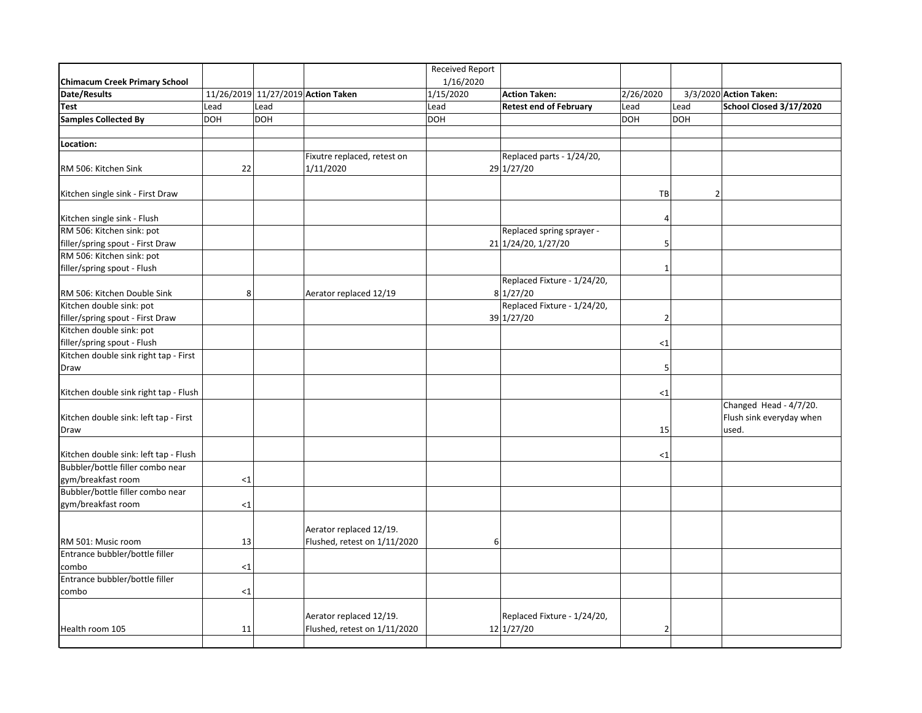|                                       |            |            |                                    | <b>Received Report</b> |                               |                          |                          |
|---------------------------------------|------------|------------|------------------------------------|------------------------|-------------------------------|--------------------------|--------------------------|
| <b>Chimacum Creek Primary School</b>  |            |            |                                    | 1/16/2020              |                               |                          |                          |
| Date/Results                          |            |            | 11/26/2019 11/27/2019 Action Taken | 1/15/2020              | <b>Action Taken:</b>          | 2/26/2020                | 3/3/2020 Action Taken:   |
| Test                                  | Lead       | Lead       |                                    | Lead                   | <b>Retest end of February</b> | Lead<br>Lead             | School Closed 3/17/2020  |
| <b>Samples Collected By</b>           | <b>DOH</b> | <b>DOH</b> |                                    | <b>DOH</b>             |                               | <b>DOH</b><br><b>DOH</b> |                          |
|                                       |            |            |                                    |                        |                               |                          |                          |
| Location:                             |            |            |                                    |                        |                               |                          |                          |
|                                       |            |            | Fixutre replaced, retest on        |                        | Replaced parts - 1/24/20,     |                          |                          |
| RM 506: Kitchen Sink                  | 22         |            | 1/11/2020                          |                        | 29 1/27/20                    |                          |                          |
|                                       |            |            |                                    |                        |                               |                          |                          |
| Kitchen single sink - First Draw      |            |            |                                    |                        |                               | TB                       | $\overline{2}$           |
|                                       |            |            |                                    |                        |                               |                          |                          |
| Kitchen single sink - Flush           |            |            |                                    |                        |                               | $\overline{4}$           |                          |
| RM 506: Kitchen sink: pot             |            |            |                                    |                        | Replaced spring sprayer -     |                          |                          |
| filler/spring spout - First Draw      |            |            |                                    |                        | 21 1/24/20, 1/27/20           | 5                        |                          |
| RM 506: Kitchen sink: pot             |            |            |                                    |                        |                               |                          |                          |
| filler/spring spout - Flush           |            |            |                                    |                        |                               | 1                        |                          |
|                                       |            |            |                                    |                        | Replaced Fixture - 1/24/20,   |                          |                          |
| RM 506: Kitchen Double Sink           | 8          |            | Aerator replaced 12/19             |                        | 8 1/27/20                     |                          |                          |
| Kitchen double sink: pot              |            |            |                                    |                        | Replaced Fixture - 1/24/20,   |                          |                          |
| filler/spring spout - First Draw      |            |            |                                    |                        | 39 1/27/20                    | $\overline{2}$           |                          |
| Kitchen double sink: pot              |            |            |                                    |                        |                               |                          |                          |
| filler/spring spout - Flush           |            |            |                                    |                        |                               | ${<}1$                   |                          |
| Kitchen double sink right tap - First |            |            |                                    |                        |                               |                          |                          |
| Draw                                  |            |            |                                    |                        |                               | 5                        |                          |
|                                       |            |            |                                    |                        |                               |                          |                          |
| Kitchen double sink right tap - Flush |            |            |                                    |                        |                               | <1                       |                          |
|                                       |            |            |                                    |                        |                               |                          | Changed Head - 4/7/20.   |
| Kitchen double sink: left tap - First |            |            |                                    |                        |                               |                          | Flush sink everyday when |
| Draw                                  |            |            |                                    |                        |                               | 15                       | used.                    |
|                                       |            |            |                                    |                        |                               |                          |                          |
| Kitchen double sink: left tap - Flush |            |            |                                    |                        |                               | <1                       |                          |
| Bubbler/bottle filler combo near      |            |            |                                    |                        |                               |                          |                          |
| gym/breakfast room                    | $<$ 1      |            |                                    |                        |                               |                          |                          |
| Bubbler/bottle filler combo near      |            |            |                                    |                        |                               |                          |                          |
| gym/breakfast room                    | <1         |            |                                    |                        |                               |                          |                          |
|                                       |            |            |                                    |                        |                               |                          |                          |
|                                       |            |            | Aerator replaced 12/19.            |                        |                               |                          |                          |
| RM 501: Music room                    | 13         |            | Flushed, retest on 1/11/2020       | 6                      |                               |                          |                          |
| Entrance bubbler/bottle filler        |            |            |                                    |                        |                               |                          |                          |
| combo                                 | $\leq$ 1   |            |                                    |                        |                               |                          |                          |
| Entrance bubbler/bottle filler        |            |            |                                    |                        |                               |                          |                          |
| combo                                 | <1         |            |                                    |                        |                               |                          |                          |
|                                       |            |            |                                    |                        |                               |                          |                          |
|                                       |            |            | Aerator replaced 12/19.            |                        | Replaced Fixture - 1/24/20,   |                          |                          |
| Health room 105                       | 11         |            | Flushed, retest on 1/11/2020       |                        | 12 1/27/20                    | $\overline{2}$           |                          |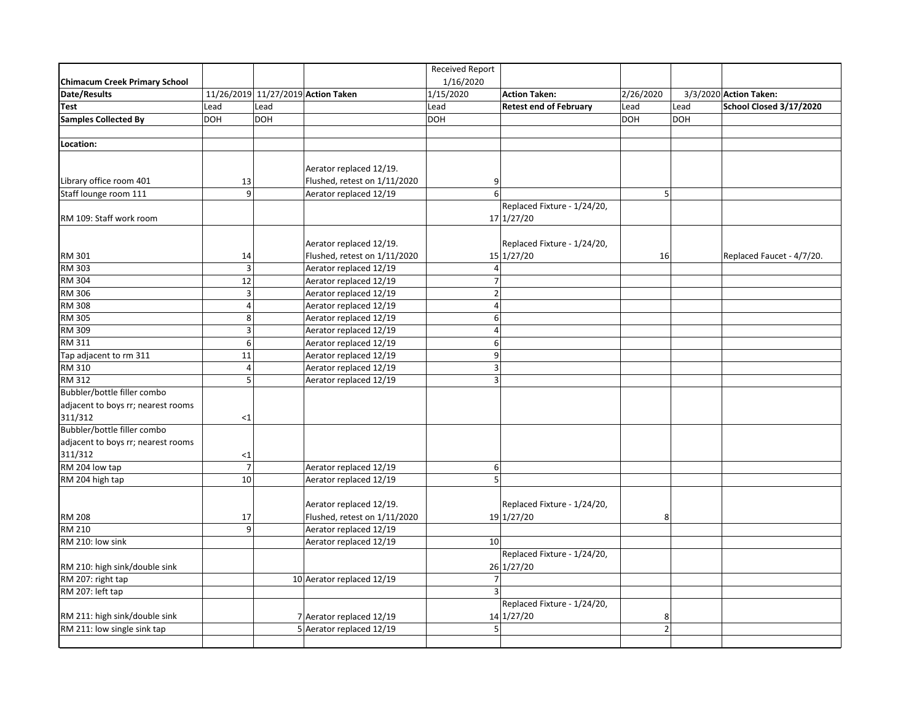|                                      |                |            |                                    | Received Report  |                               |                   |                           |
|--------------------------------------|----------------|------------|------------------------------------|------------------|-------------------------------|-------------------|---------------------------|
| <b>Chimacum Creek Primary School</b> |                |            |                                    | 1/16/2020        |                               |                   |                           |
| Date/Results                         |                |            | 11/26/2019 11/27/2019 Action Taken | 1/15/2020        | <b>Action Taken:</b>          | 2/26/2020         | 3/3/2020 Action Taken:    |
| Test                                 | Lead           | Lead       |                                    | Lead             | <b>Retest end of February</b> | Lead<br>Lead      | School Closed 3/17/2020   |
| <b>Samples Collected By</b>          | <b>DOH</b>     | <b>DOH</b> |                                    | <b>DOH</b>       |                               | DOH<br><b>DOH</b> |                           |
|                                      |                |            |                                    |                  |                               |                   |                           |
| Location:                            |                |            |                                    |                  |                               |                   |                           |
|                                      |                |            |                                    |                  |                               |                   |                           |
|                                      |                |            | Aerator replaced 12/19.            |                  |                               |                   |                           |
| Library office room 401              | 13             |            | Flushed, retest on 1/11/2020       | 9                |                               |                   |                           |
| Staff lounge room 111                | $\overline{9}$ |            | Aerator replaced 12/19             | $6 \overline{6}$ |                               | 5 <sup>1</sup>    |                           |
|                                      |                |            |                                    |                  | Replaced Fixture - 1/24/20,   |                   |                           |
| RM 109: Staff work room              |                |            |                                    |                  | 17 1/27/20                    |                   |                           |
|                                      |                |            |                                    |                  |                               |                   |                           |
|                                      |                |            | Aerator replaced 12/19.            |                  | Replaced Fixture - 1/24/20,   |                   |                           |
| RM 301                               | 14             |            | Flushed, retest on 1/11/2020       |                  | 15 1/27/20                    | 16                | Replaced Faucet - 4/7/20. |
| RM 303                               | $\overline{3}$ |            | Aerator replaced 12/19             | $\overline{4}$   |                               |                   |                           |
| RM 304                               | 12             |            | Aerator replaced 12/19             | $\overline{7}$   |                               |                   |                           |
| RM 306                               | $\overline{3}$ |            | Aerator replaced 12/19             | $\mathbf 2$      |                               |                   |                           |
| <b>RM 308</b>                        | $\overline{a}$ |            | Aerator replaced 12/19             | $\overline{4}$   |                               |                   |                           |
| RM 305                               | 8              |            | Aerator replaced 12/19             | 6                |                               |                   |                           |
| RM 309                               | 3              |            | Aerator replaced 12/19             | 4                |                               |                   |                           |
| <b>RM 311</b>                        | 6              |            | Aerator replaced 12/19             | 6                |                               |                   |                           |
| Tap adjacent to rm 311               | 11             |            | Aerator replaced 12/19             | 9                |                               |                   |                           |
| RM 310                               | $\overline{4}$ |            | Aerator replaced 12/19             | $\overline{3}$   |                               |                   |                           |
| RM 312                               | 5 <sup>1</sup> |            | Aerator replaced 12/19             | $\overline{3}$   |                               |                   |                           |
| Bubbler/bottle filler combo          |                |            |                                    |                  |                               |                   |                           |
| adjacent to boys rr; nearest rooms   |                |            |                                    |                  |                               |                   |                           |
| 311/312                              | <1             |            |                                    |                  |                               |                   |                           |
| Bubbler/bottle filler combo          |                |            |                                    |                  |                               |                   |                           |
| adjacent to boys rr; nearest rooms   |                |            |                                    |                  |                               |                   |                           |
| 311/312                              | ${<}1$         |            |                                    |                  |                               |                   |                           |
| RM 204 low tap                       | $\overline{7}$ |            | Aerator replaced 12/19             | 6                |                               |                   |                           |
| RM 204 high tap                      | 10             |            | Aerator replaced 12/19             | 5 <sup>1</sup>   |                               |                   |                           |
|                                      |                |            |                                    |                  |                               |                   |                           |
|                                      |                |            | Aerator replaced 12/19.            |                  | Replaced Fixture - 1/24/20,   |                   |                           |
| <b>RM 208</b>                        | 17             |            | Flushed, retest on 1/11/2020       |                  | 19 1/27/20                    | 8                 |                           |
| <b>RM 210</b>                        | q              |            | Aerator replaced 12/19             |                  |                               |                   |                           |
| RM 210: low sink                     |                |            | Aerator replaced 12/19             | 10               |                               |                   |                           |
|                                      |                |            |                                    |                  | Replaced Fixture - 1/24/20,   |                   |                           |
| RM 210: high sink/double sink        |                |            |                                    |                  | 26 1/27/20                    |                   |                           |
| RM 207: right tap                    |                |            | 10 Aerator replaced 12/19          | $\overline{7}$   |                               |                   |                           |
| RM 207: left tap                     |                |            |                                    | $\overline{3}$   |                               |                   |                           |
|                                      |                |            |                                    |                  | Replaced Fixture - 1/24/20,   |                   |                           |
| RM 211: high sink/double sink        |                |            | 7 Aerator replaced 12/19           |                  | 14 1/27/20                    | 8                 |                           |
| RM 211: low single sink tap          |                |            | 5 Aerator replaced 12/19           | 5 <sup>1</sup>   |                               | $\overline{2}$    |                           |
|                                      |                |            |                                    |                  |                               |                   |                           |